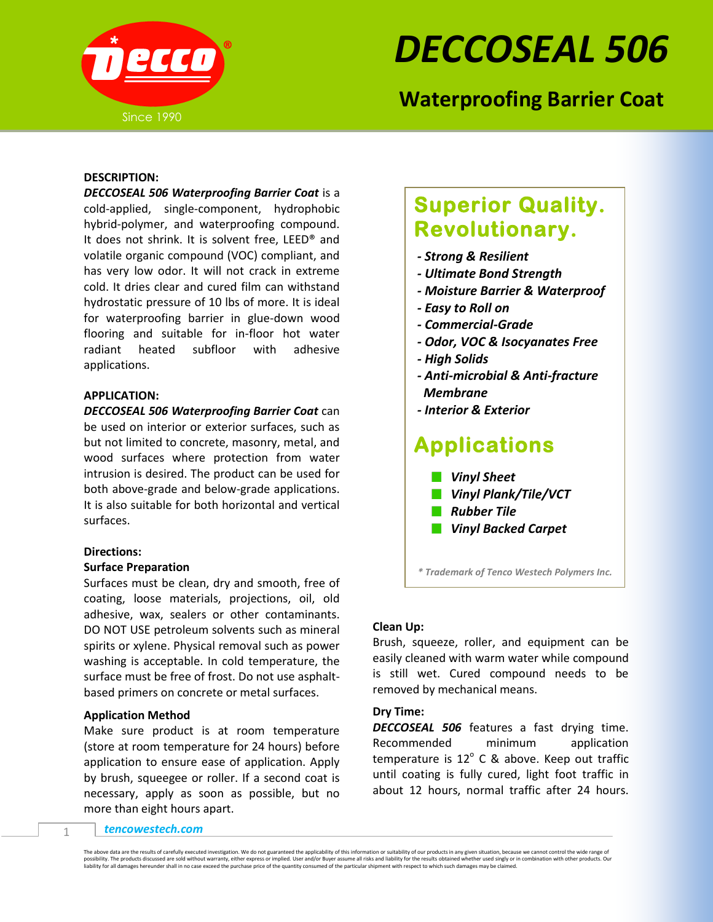

# *DECCOSEAL 506*

## **Waterproofing Barrier Coat**

### **DESCRIPTION:**

*DECCOSEAL 506 Waterproofing Barrier Coat* is a cold-applied, single-component, hydrophobic hybrid-polymer, and waterproofing compound. It does not shrink. It is solvent free, LEED® and volatile organic compound (VOC) compliant, and has very low odor. It will not crack in extreme cold. It dries clear and cured film can withstand hydrostatic pressure of 10 lbs of more. It is ideal for waterproofing barrier in glue-down wood flooring and suitable for in-floor hot water radiant heated subfloor with adhesive applications.

j

### **APPLICATION:**

*DECCOSEAL 506 Waterproofing Barrier Coat* can be used on interior or exterior surfaces, such as but not limited to concrete, masonry, metal, and wood surfaces where protection from water intrusion is desired. The product can be used for both above-grade and below-grade applications. It is also suitable for both horizontal and vertical surfaces.

#### **Directions:**

### **Surface Preparation**

Surfaces must be clean, dry and smooth, free of coating, loose materials, projections, oil, old adhesive, wax, sealers or other contaminants. DO NOT USE petroleum solvents such as mineral spirits or xylene. Physical removal such as power washing is acceptable. In cold temperature, the surface must be free of frost. Do not use asphaltbased primers on concrete or metal surfaces.

### **Application Method**

Make sure product is at room temperature (store at room temperature for 24 hours) before application to ensure ease of application. Apply by brush, squeegee or roller. If a second coat is necessary, apply as soon as possible, but no more than eight hours apart.

# **Superior Quality. Revolutionary.**

- *- Strong & Resilient*
- *- Ultimate Bond Strength*
- *- Moisture Barrier & Waterproof*
- *- Easy to Roll on*
- *- Commercial-Grade*
- *- Odor, VOC & Isocyanates Free*
- *- High Solids*
- *- Anti-microbial & Anti-fracture Membrane*
- *- Interior & Exterior*

# **Applications**

- *Vinyl Sheet*
- *Vinyl Plank/Tile/VCT*
- *Rubber Tile*
- *Vinyl Backed Carpet*

*\* Trademark of Tenco Westech Polymers Inc.*

### **Clean Up:**

Brush, squeeze, roller, and equipment can be easily cleaned with warm water while compound is still wet. Cured compound needs to be removed by mechanical means.

### **Dry Time:**

*DECCOSEAL 506* features a fast drying time. Recommended minimum application temperature is  $12^{\circ}$  C & above. Keep out traffic until coating is fully cured, light foot traffic in about 12 hours, normal traffic after 24 hours.

*tencowestech.com*

The above data are the results of carefully executed investigation. We do not guaranteed the applicability of this information or suitability of our products in any given situation, because we cannot control the wide range possibility. The products discussed are sold without warranty, either express or implied. User and/or Buyer assume all risks and liability for the results obtained whether used singly or in combination with other products. liability for all damages hereunder shall in no case exceed the purchase price of the quantity consumed of the particular shipment with respect to which such damages may be claimed.